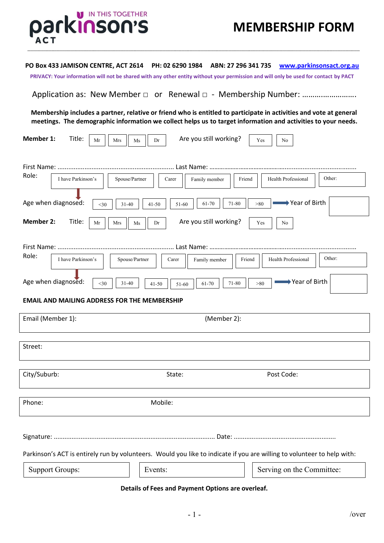

## **PO Box 433 JAMISON CENTRE, ACT 2614 PH: 02 6290 1984 ABN: 27 296 341 735 [www.parkinsonsact.org.au](http://www.parkinsonsact.org.au/)**

 **\_\_\_\_\_\_\_\_\_\_\_\_\_\_\_\_\_\_\_\_\_\_\_\_\_\_\_\_\_\_\_\_\_\_\_\_\_\_\_\_\_\_\_\_\_\_\_\_\_\_\_\_\_\_\_\_\_\_\_\_\_\_\_\_\_\_\_\_\_\_\_\_\_\_\_\_\_\_\_\_\_\_\_\_\_\_\_\_\_\_\_\_\_\_\_\_\_\_\_\_\_\_\_\_\_\_\_\_\_\_\_\_\_\_\_\_\_\_\_\_\_\_\_\_\_\_\_\_\_\_\_\_\_\_\_\_\_\_\_\_\_\_\_\_\_\_\_\_\_\_\_\_\_\_\_\_\_\_\_\_\_\_\_\_\_\_\_\_\_\_\_\_\_\_\_\_\_\_\_\_\_\_\_\_\_\_\_\_\_\_\_\_\_\_\_\_\_\_\_\_\_\_\_\_\_\_\_**

**PRIVACY: Your information will not be shared with any other entity without your permission and will only be used for contact by PACT**

Application as: New Member □ or Renewal □ - Membership Number: ……………………………………………

**Membership includes a partner, relative or friend who is entitled to participate in activities and vote at general meetings. The demographic information we collect helps us to target information and activities to your needs.**

| <b>Member 1:</b><br>Are you still working?<br>Title:<br>Yes<br>Mr<br>Mrs<br>Dr<br>Ms<br>No                              |  |  |  |  |  |
|-------------------------------------------------------------------------------------------------------------------------|--|--|--|--|--|
|                                                                                                                         |  |  |  |  |  |
|                                                                                                                         |  |  |  |  |  |
| Role:<br>Other:<br>I have Parkinson's<br>Spouse/Partner<br>Health Professional<br>Family member<br>Friend<br>Carer      |  |  |  |  |  |
| Year of Birth<br>Age when diagnosed:<br>71-80<br>$>\!\!80$<br>61-70<br>$31 - 40$<br>$41 - 50$<br>51-60<br>$<$ 30        |  |  |  |  |  |
| <b>Member 2:</b><br>Are you still working?<br>Title:<br>Mr<br>Mrs<br>Dr<br>Yes<br>No<br>Ms                              |  |  |  |  |  |
|                                                                                                                         |  |  |  |  |  |
| Role:<br>Other:<br>I have Parkinson's<br>Health Professional<br>Spouse/Partner<br>Family member<br>Carer<br>Friend      |  |  |  |  |  |
| Age when diagnosed:<br>→ Year of Birth<br>$<$ 30<br>71-80<br>$31 - 40$<br>>80<br>61-70<br>$41 - 50$<br>51-60            |  |  |  |  |  |
| <b>EMAIL AND MAILING ADDRESS FOR THE MEMBERSHIP</b>                                                                     |  |  |  |  |  |
| (Member 2):<br>Email (Member 1):                                                                                        |  |  |  |  |  |
|                                                                                                                         |  |  |  |  |  |
| Street:                                                                                                                 |  |  |  |  |  |
|                                                                                                                         |  |  |  |  |  |
| City/Suburb:<br>Post Code:<br>State:                                                                                    |  |  |  |  |  |
| Phone:<br>Mobile:                                                                                                       |  |  |  |  |  |
|                                                                                                                         |  |  |  |  |  |
| Parkinson's ACT is entirely run by volunteers. Would you like to indicate if you are willing to volunteer to help with: |  |  |  |  |  |
| <b>Support Groups:</b><br>Events:<br>Serving on the Committee:                                                          |  |  |  |  |  |

## **Details of Fees and Payment Options are overleaf.**